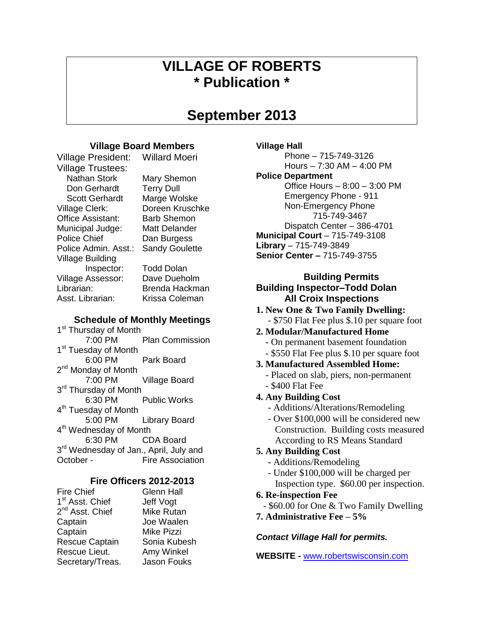# **VILLAGE OF ROBERTS \* Publication \***

# **September 2013**

# **Village Board Members**

Village President: Willard Moeri

Village Trustees: Nathan Stork Mary Shemon Don Gerhardt Terry Dull Scott Gerhardt Marge Wolske Village Clerk: Doreen Kruschke Office Assistant: Barb Shemon Municipal Judge: Matt Delander Police Chief Dan Burgess Police Admin. Asst.: Sandy Goulette Village Building Inspector: Todd Dolan Village Assessor: Dave Dueholm Librarian: Brenda Hackman Asst. Librarian: Krissa Coleman

# **Schedule of Monthly Meetings**

1<sup>st</sup> Thursday of Month 7:00 PM Plan Commission 1<sup>st</sup> Tuesday of Month 6:00 PM Park Board 2<sup>nd</sup> Monday of Month 7:00 PM Village Board 3<sup>rd</sup> Thursday of Month 6:30 PM Public Works 4<sup>th</sup> Tuesday of Month 5:00 PM Library Board 4<sup>th</sup> Wednesday of Month 6:30 PM CDA Board 3<sup>rd</sup> Wednesday of Jan., April, July and October - Fire Association

# **Fire Officers 2012-2013**

| <b>Fire Chief</b>           | <b>Glenn Hall</b> |
|-----------------------------|-------------------|
| 1 <sup>st</sup> Asst. Chief | Jeff Vogt         |
| 2 <sup>nd</sup> Asst. Chief | <b>Mike Rutan</b> |
| Captain                     | Joe Waalen        |
| Captain                     | <b>Mike Pizzi</b> |
| <b>Rescue Captain</b>       | Sonia Kubesh      |
| Rescue Lieut.               | Amy Winkel        |
| Secretary/Treas.            | Jason Fouks       |

## **Village Hall**

Phone – 715-749-3126 Hours – 7:30 AM – 4:00 PM

### **Police Department**

Office Hours – 8:00 – 3:00 PM Emergency Phone - 911 Non-Emergency Phone 715-749-3467 Dispatch Center – 386-4701 **Municipal Court** – 715-749-3108 **Library** – 715-749-3849 **Senior Center –** 715-749-3755

# **Building Permits Building Inspector–Todd Dolan All Croix Inspections**

**1. New One & Two Family Dwelling:** - \$750 Flat Fee plus \$.10 per square foot

# **2. Modular/Manufactured Home**

- On permanent basement foundation
- \$550 Flat Fee plus \$.10 per square foot
- **3. Manufactured Assembled Home:**
	- Placed on slab, piers, non-permanent
	- \$400 Flat Fee
- **4. Any Building Cost**
	- Additions/Alterations/Remodeling
	- Over \$100,000 will be considered new Construction. Building costs measured According to RS Means Standard

# **5. Any Building Cost**

- **-** Additions/Remodeling
- Under \$100,000 will be charged per
- Inspection type. \$60.00 per inspection. **6. Re-inspection Fee**
- \$60.00 for One & Two Family Dwelling
- **7. Administrative Fee – 5%**

# *Contact Village Hall for permits.*

**WEBSITE -** [www.robertswisconsin.com](http://www.robertswisconsin.com/)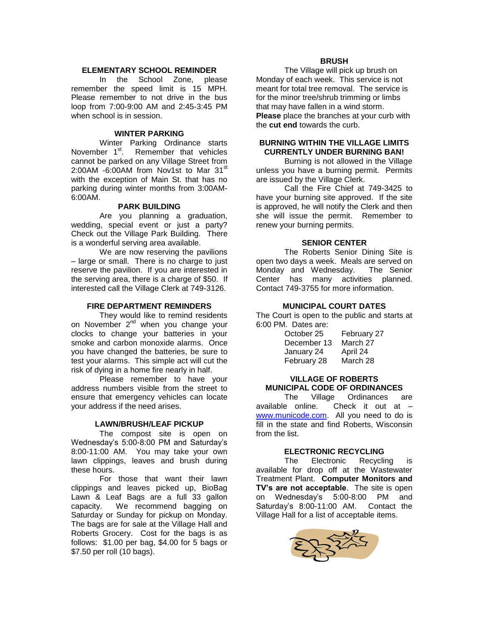### **ELEMENTARY SCHOOL REMINDER**

In the School Zone, please remember the speed limit is 15 MPH. Please remember to not drive in the bus loop from 7:00-9:00 AM and 2:45-3:45 PM when school is in session

#### **WINTER PARKING**

Winter Parking Ordinance starts November 1<sup>st</sup>. Remember that vehicles cannot be parked on any Village Street from 2:00AM -6:00AM from Nov1st to Mar 31<sup>st</sup> with the exception of Main St. that has no parking during winter months from 3:00AM-6:00AM.

#### **PARK BUILDING**

Are you planning a graduation, wedding, special event or just a party? Check out the Village Park Building. There is a wonderful serving area available.

We are now reserving the pavilions – large or small. There is no charge to just reserve the pavilion. If you are interested in the serving area, there is a charge of \$50. If interested call the Village Clerk at 749-3126.

#### **FIRE DEPARTMENT REMINDERS**

They would like to remind residents on November 2<sup>nd</sup> when you change your clocks to change your batteries in your smoke and carbon monoxide alarms. Once you have changed the batteries, be sure to test your alarms. This simple act will cut the risk of dying in a home fire nearly in half.

Please remember to have your address numbers visible from the street to ensure that emergency vehicles can locate your address if the need arises.

#### **LAWN/BRUSH/LEAF PICKUP**

The compost site is open on Wednesday's 5:00-8:00 PM and Saturday's 8:00-11:00 AM. You may take your own lawn clippings, leaves and brush during these hours.

For those that want their lawn clippings and leaves picked up, BioBag Lawn & Leaf Bags are a full 33 gallon capacity. We recommend bagging on Saturday or Sunday for pickup on Monday. The bags are for sale at the Village Hall and Roberts Grocery. Cost for the bags is as follows: \$1.00 per bag, \$4.00 for 5 bags or \$7.50 per roll (10 bags).

#### **BRUSH**

The Village will pick up brush on Monday of each week. This service is not meant for total tree removal. The service is for the minor tree/shrub trimming or limbs that may have fallen in a wind storm. **Please** place the branches at your curb with the **cut end** towards the curb.

### **BURNING WITHIN THE VILLAGE LIMITS CURRENTLY UNDER BURNING BAN!**

Burning is not allowed in the Village unless you have a burning permit. Permits are issued by the Village Clerk.

Call the Fire Chief at 749-3425 to have your burning site approved. If the site is approved, he will notify the Clerk and then she will issue the permit. Remember to renew your burning permits.

### **SENIOR CENTER**

The Roberts Senior Dining Site is open two days a week. Meals are served on Monday and Wednesday. The Senior Center has many activities planned. Contact 749-3755 for more information.

#### **MUNICIPAL COURT DATES**

The Court is open to the public and starts at 6:00 PM. Dates are:

| October 25  | February 27 |
|-------------|-------------|
| December 13 | March 27    |
| January 24  | April 24    |
| February 28 | March 28    |

### **VILLAGE OF ROBERTS MUNICIPAL CODE OF ORDINANCES**

The Village Ordinances are available online. Check it out at – [www.municode.com.](http://www.municode.com/) All you need to do is fill in the state and find Roberts, Wisconsin from the list.

### **ELECTRONIC RECYCLING**

The Electronic Recycling is available for drop off at the Wastewater Treatment Plant. **Computer Monitors and TV's are not acceptable**. The site is open on Wednesday's 5:00-8:00 PM and Saturday's 8:00-11:00 AM. Contact the Village Hall for a list of acceptable items.

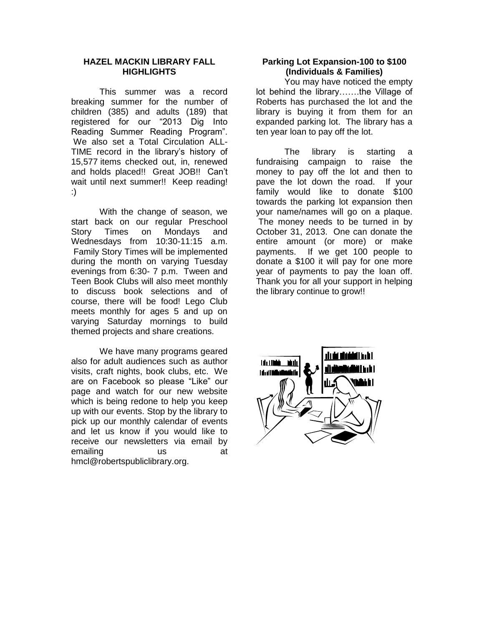### **HAZEL MACKIN LIBRARY FALL HIGHLIGHTS**

This summer was a record breaking summer for the number of children (385) and adults (189) that registered for our "2013 Dig Into Reading Summer Reading Program". We also set a Total Circulation ALL-TIME record in the library's history of 15,577 items checked out, in, renewed and holds placed!! Great JOB!! Can't wait until next summer!! Keep reading! :)

With the change of season, we start back on our regular Preschool Story Times on Mondays and Wednesdays from 10:30-11:15 a.m. Family Story Times will be implemented during the month on varying Tuesday evenings from 6:30- 7 p.m. Tween and Teen Book Clubs will also meet monthly to discuss book selections and of course, there will be food! Lego Club meets monthly for ages 5 and up on varying Saturday mornings to build themed projects and share creations.

We have many programs geared also for adult audiences such as author visits, craft nights, book clubs, etc. We are on Facebook so please "Like" our page and watch for our new website which is being redone to help you keep up with our events. Stop by the library to pick up our monthly calendar of events and let us know if you would like to receive our newsletters via email by emailing us at hmcl@robertspubliclibrary.org.

### **Parking Lot Expansion-100 to \$100 (Individuals & Families)**

You may have noticed the empty lot behind the library…….the Village of Roberts has purchased the lot and the library is buying it from them for an expanded parking lot. The library has a ten year loan to pay off the lot.

The library is starting a fundraising campaign to raise the money to pay off the lot and then to pave the lot down the road. If your family would like to donate \$100 towards the parking lot expansion then your name/names will go on a plaque. The money needs to be turned in by October 31, 2013. One can donate the entire amount (or more) or make payments. If we get 100 people to donate a \$100 it will pay for one more year of payments to pay the loan off. Thank you for all your support in helping the library continue to grow!!